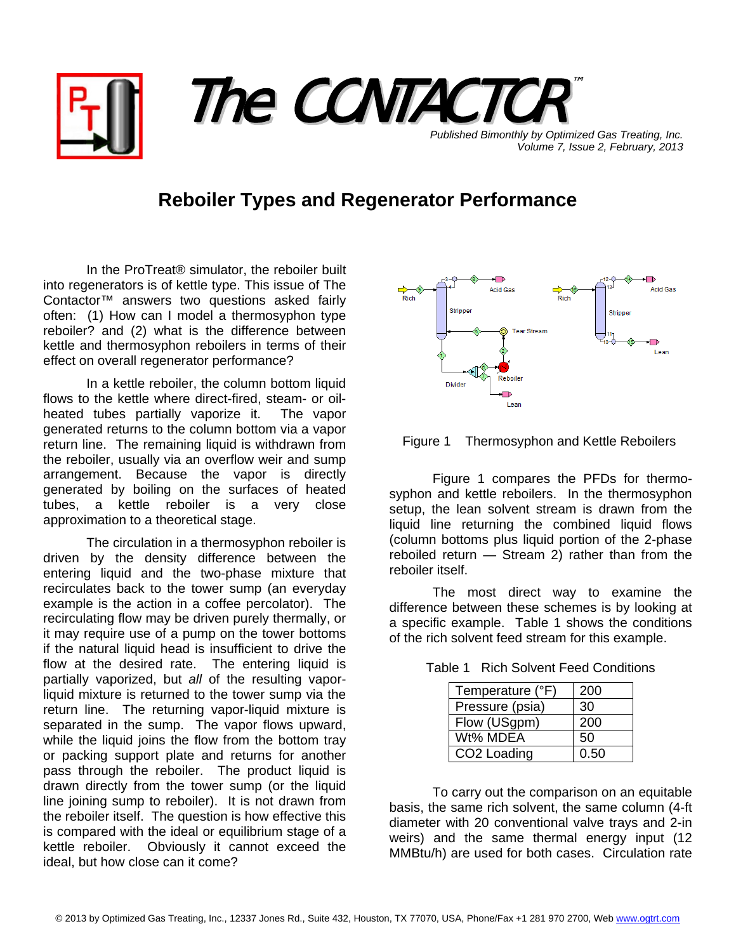

*Published Bimonthly by Optimized Gas Treating, Inc. Volume 7, Issue 2, February, 2013*

## **Reboiler Types and Regenerator Performance**

In the ProTreat® simulator, the reboiler built into regenerators is of kettle type. This issue of The Contactor™ answers two questions asked fairly often: (1) How can I model a thermosyphon type reboiler? and (2) what is the difference between kettle and thermosyphon reboilers in terms of their effect on overall regenerator performance?

In a kettle reboiler, the column bottom liquid flows to the kettle where direct-fired, steam- or oilheated tubes partially vaporize it. The vapor generated returns to the column bottom via a vapor return line. The remaining liquid is withdrawn from the reboiler, usually via an overflow weir and sump arrangement. Because the vapor is directly generated by boiling on the surfaces of heated tubes, a kettle reboiler is a very close approximation to a theoretical stage.

The circulation in a thermosyphon reboiler is driven by the density difference between the entering liquid and the two-phase mixture that recirculates back to the tower sump (an everyday example is the action in a coffee percolator). The recirculating flow may be driven purely thermally, or it may require use of a pump on the tower bottoms if the natural liquid head is insufficient to drive the flow at the desired rate. The entering liquid is partially vaporized, but *all* of the resulting vaporliquid mixture is returned to the tower sump via the return line. The returning vapor-liquid mixture is separated in the sump. The vapor flows upward, while the liquid joins the flow from the bottom tray or packing support plate and returns for another pass through the reboiler. The product liquid is drawn directly from the tower sump (or the liquid line joining sump to reboiler). It is not drawn from the reboiler itself. The question is how effective this is compared with the ideal or equilibrium stage of a kettle reboiler. Obviously it cannot exceed the ideal, but how close can it come?





 Figure 1 compares the PFDs for thermosyphon and kettle reboilers. In the thermosyphon setup, the lean solvent stream is drawn from the liquid line returning the combined liquid flows (column bottoms plus liquid portion of the 2-phase reboiled return — Stream 2) rather than from the reboiler itself.

 The most direct way to examine the difference between these schemes is by looking at a specific example. Table 1 shows the conditions of the rich solvent feed stream for this example.

Table 1 Rich Solvent Feed Conditions

| Temperature (°F)        | 200  |
|-------------------------|------|
| Pressure (psia)         | 30   |
| Flow (USgpm)            | 200  |
| Wt% MDEA                | 50   |
| CO <sub>2</sub> Loading | 0.50 |

To carry out the comparison on an equitable basis, the same rich solvent, the same column (4-ft diameter with 20 conventional valve trays and 2-in weirs) and the same thermal energy input (12 MMBtu/h) are used for both cases. Circulation rate